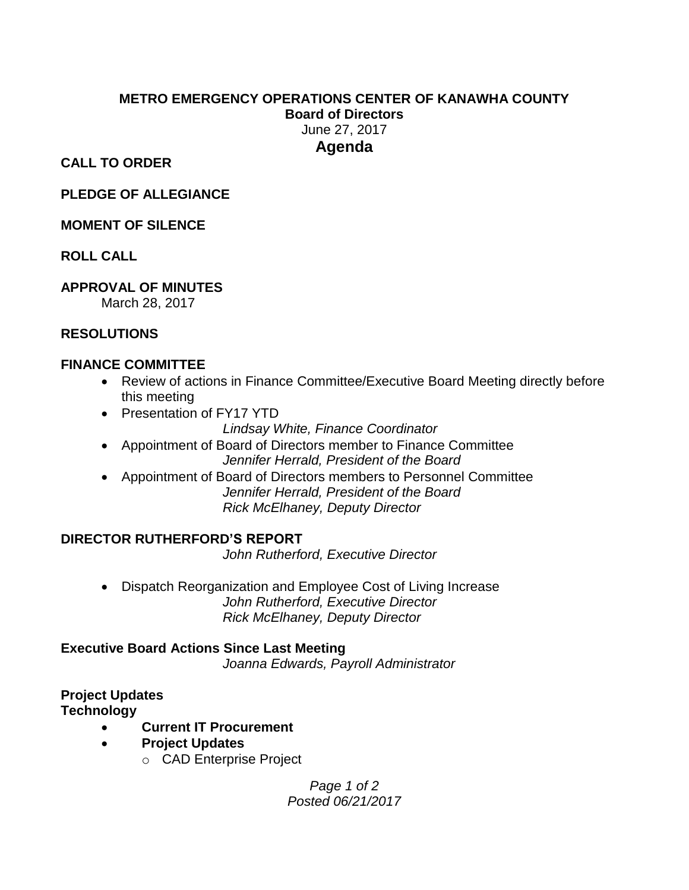#### **METRO EMERGENCY OPERATIONS CENTER OF KANAWHA COUNTY Board of Directors** June 27, 2017 **Agenda**

**CALL TO ORDER**

**PLEDGE OF ALLEGIANCE**

#### **MOMENT OF SILENCE**

#### **ROLL CALL**

#### **APPROVAL OF MINUTES**

March 28, 2017

#### **RESOLUTIONS**

#### **FINANCE COMMITTEE**

- Review of actions in Finance Committee/Executive Board Meeting directly before this meeting
- Presentation of FY17 YTD

*Lindsay White, Finance Coordinator*

- Appointment of Board of Directors member to Finance Committee *Jennifer Herrald, President of the Board*
- Appointment of Board of Directors members to Personnel Committee *Jennifer Herrald, President of the Board Rick McElhaney, Deputy Director*

#### **DIRECTOR RUTHERFORD'S REPORT**

*John Rutherford, Executive Director*

 Dispatch Reorganization and Employee Cost of Living Increase *John Rutherford, Executive Director Rick McElhaney, Deputy Director*

#### **Executive Board Actions Since Last Meeting** *Joanna Edwards, Payroll Administrator*

# **Project Updates**

**Technology** 

- **Current IT Procurement**
- **Project Updates**
	- o CAD Enterprise Project

*Page 1 of 2 Posted 06/21/2017*